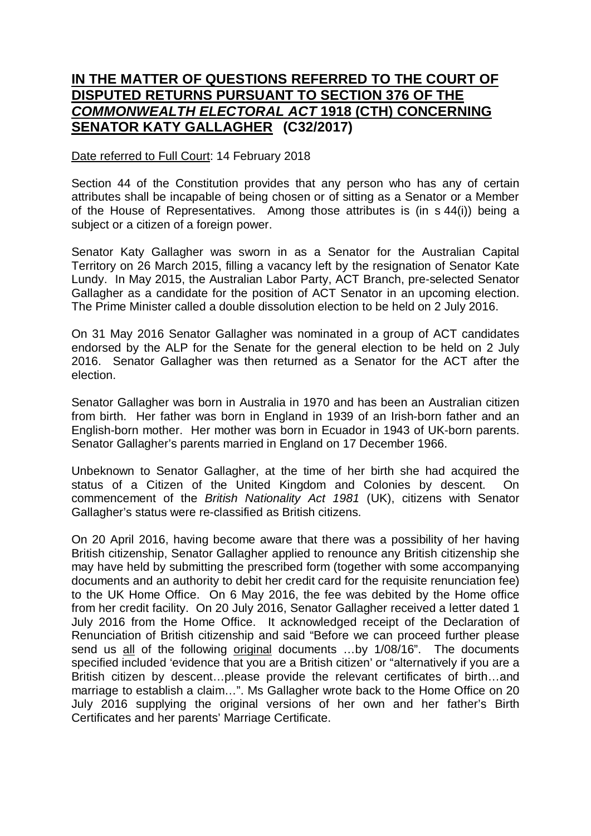## **IN THE MATTER OF QUESTIONS REFERRED TO THE COURT OF DISPUTED RETURNS PURSUANT TO SECTION 376 OF THE**  *COMMONWEALTH ELECTORAL ACT* **1918 (CTH) CONCERNING SENATOR KATY GALLAGHER (C32/2017)**

## Date referred to Full Court: 14 February 2018

Section 44 of the Constitution provides that any person who has any of certain attributes shall be incapable of being chosen or of sitting as a Senator or a Member of the House of Representatives. Among those attributes is (in s 44(i)) being a subject or a citizen of a foreign power.

Senator Katy Gallagher was sworn in as a Senator for the Australian Capital Territory on 26 March 2015, filling a vacancy left by the resignation of Senator Kate Lundy. In May 2015, the Australian Labor Party, ACT Branch, pre-selected Senator Gallagher as a candidate for the position of ACT Senator in an upcoming election. The Prime Minister called a double dissolution election to be held on 2 July 2016.

On 31 May 2016 Senator Gallagher was nominated in a group of ACT candidates endorsed by the ALP for the Senate for the general election to be held on 2 July 2016. Senator Gallagher was then returned as a Senator for the ACT after the election.

Senator Gallagher was born in Australia in 1970 and has been an Australian citizen from birth. Her father was born in England in 1939 of an Irish-born father and an English-born mother. Her mother was born in Ecuador in 1943 of UK-born parents. Senator Gallagher's parents married in England on 17 December 1966.

Unbeknown to Senator Gallagher, at the time of her birth she had acquired the status of a Citizen of the United Kingdom and Colonies by descent. On commencement of the *British Nationality Act 1981* (UK), citizens with Senator Gallagher's status were re-classified as British citizens.

On 20 April 2016, having become aware that there was a possibility of her having British citizenship, Senator Gallagher applied to renounce any British citizenship she may have held by submitting the prescribed form (together with some accompanying documents and an authority to debit her credit card for the requisite renunciation fee) to the UK Home Office. On 6 May 2016, the fee was debited by the Home office from her credit facility. On 20 July 2016, Senator Gallagher received a letter dated 1 July 2016 from the Home Office. It acknowledged receipt of the Declaration of Renunciation of British citizenship and said "Before we can proceed further please send us all of the following original documents …by 1/08/16". The documents specified included 'evidence that you are a British citizen' or "alternatively if you are a British citizen by descent…please provide the relevant certificates of birth…and marriage to establish a claim…". Ms Gallagher wrote back to the Home Office on 20 July 2016 supplying the original versions of her own and her father's Birth Certificates and her parents' Marriage Certificate.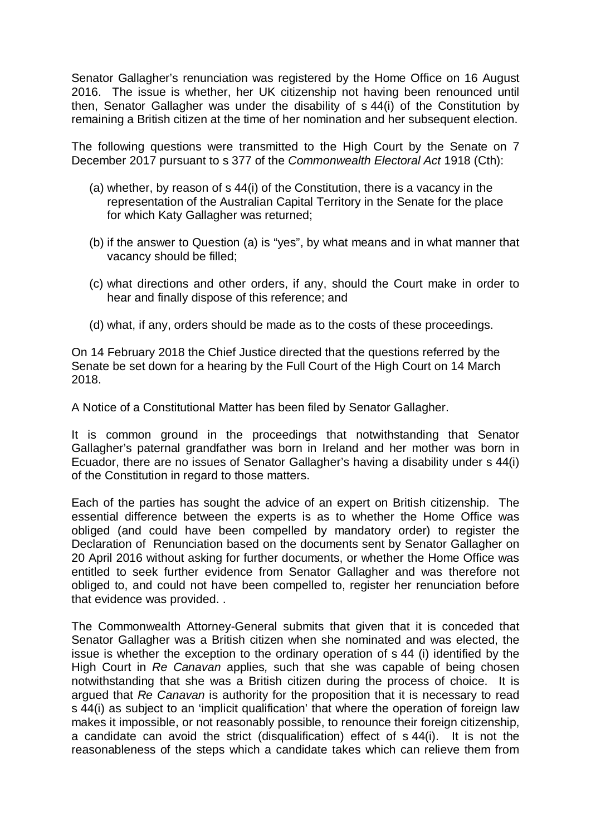Senator Gallagher's renunciation was registered by the Home Office on 16 August 2016. The issue is whether, her UK citizenship not having been renounced until then, Senator Gallagher was under the disability of s 44(i) of the Constitution by remaining a British citizen at the time of her nomination and her subsequent election.

The following questions were transmitted to the High Court by the Senate on 7 December 2017 pursuant to s 377 of the *Commonwealth Electoral Act* 1918 (Cth):

- (a) whether, by reason of s 44(i) of the Constitution, there is a vacancy in the representation of the Australian Capital Territory in the Senate for the place for which Katy Gallagher was returned;
- (b) if the answer to Question (a) is "yes", by what means and in what manner that vacancy should be filled;
- (c) what directions and other orders, if any, should the Court make in order to hear and finally dispose of this reference; and
- (d) what, if any, orders should be made as to the costs of these proceedings.

On 14 February 2018 the Chief Justice directed that the questions referred by the Senate be set down for a hearing by the Full Court of the High Court on 14 March 2018.

A Notice of a Constitutional Matter has been filed by Senator Gallagher.

It is common ground in the proceedings that notwithstanding that Senator Gallagher's paternal grandfather was born in Ireland and her mother was born in Ecuador, there are no issues of Senator Gallagher's having a disability under s 44(i) of the Constitution in regard to those matters.

Each of the parties has sought the advice of an expert on British citizenship. The essential difference between the experts is as to whether the Home Office was obliged (and could have been compelled by mandatory order) to register the Declaration of Renunciation based on the documents sent by Senator Gallagher on 20 April 2016 without asking for further documents, or whether the Home Office was entitled to seek further evidence from Senator Gallagher and was therefore not obliged to, and could not have been compelled to, register her renunciation before that evidence was provided. .

The Commonwealth Attorney-General submits that given that it is conceded that Senator Gallagher was a British citizen when she nominated and was elected, the issue is whether the exception to the ordinary operation of s 44 (i) identified by the High Court in *Re Canavan* applies*,* such that she was capable of being chosen notwithstanding that she was a British citizen during the process of choice. It is argued that *Re Canavan* is authority for the proposition that it is necessary to read s 44(i) as subject to an 'implicit qualification' that where the operation of foreign law makes it impossible, or not reasonably possible, to renounce their foreign citizenship, a candidate can avoid the strict (disqualification) effect of s 44(i). It is not the reasonableness of the steps which a candidate takes which can relieve them from